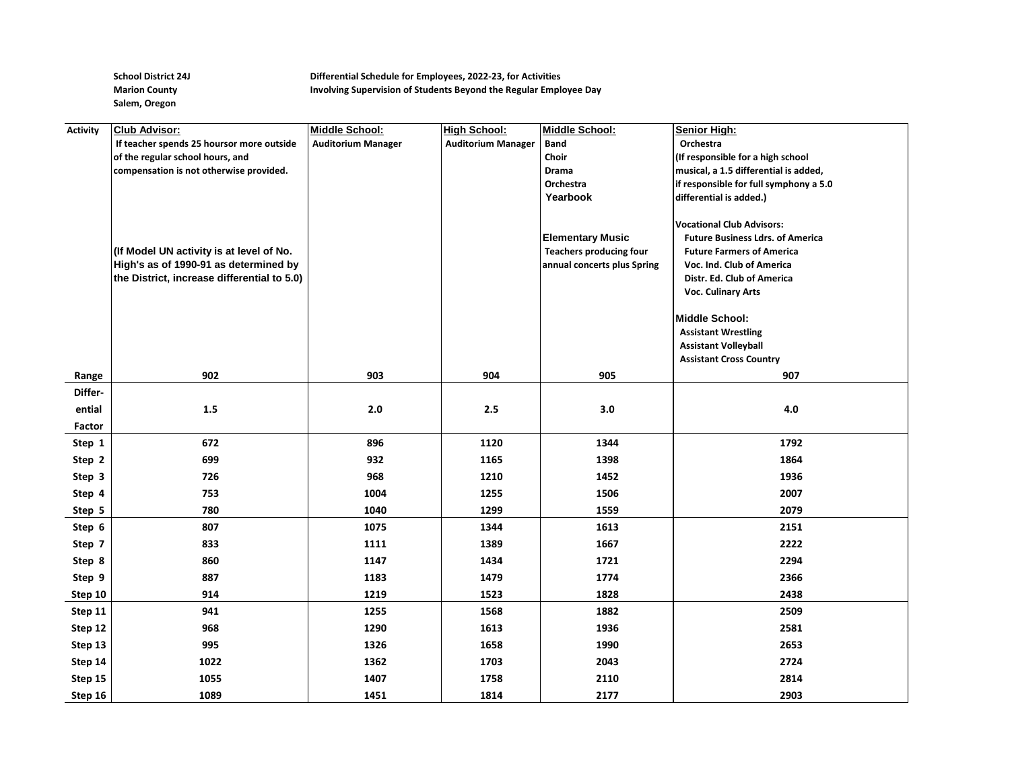**Salem, Oregon**

## **School District 24J Differential Schedule for Employees, 2022-23, for Activities Marion County Involving Supervision of Students Beyond the Regular Employee Day**

| <b>Activity</b> | <b>Club Advisor:</b>                        | Middle School:            | <b>High School:</b>       | Middle School:                 | <b>Senior High:</b>                                                         |
|-----------------|---------------------------------------------|---------------------------|---------------------------|--------------------------------|-----------------------------------------------------------------------------|
|                 | If teacher spends 25 hoursor more outside   | <b>Auditorium Manager</b> | <b>Auditorium Manager</b> | <b>Band</b>                    | Orchestra                                                                   |
|                 | of the regular school hours, and            |                           |                           | Choir                          | (If responsible for a high school                                           |
|                 | compensation is not otherwise provided.     |                           |                           | Drama                          | musical, a 1.5 differential is added,                                       |
|                 |                                             |                           |                           | Orchestra                      | if responsible for full symphony a 5.0                                      |
|                 |                                             |                           |                           | Yearbook                       | differential is added.)                                                     |
|                 |                                             |                           |                           |                                |                                                                             |
|                 |                                             |                           |                           | <b>Elementary Music</b>        | <b>Vocational Club Advisors:</b><br><b>Future Business Ldrs. of America</b> |
|                 | (If Model UN activity is at level of No.    |                           |                           | <b>Teachers producing four</b> | <b>Future Farmers of America</b>                                            |
|                 | High's as of 1990-91 as determined by       |                           |                           | annual concerts plus Spring    | Voc. Ind. Club of America                                                   |
|                 | the District, increase differential to 5.0) |                           |                           |                                | Distr. Ed. Club of America                                                  |
|                 |                                             |                           |                           |                                | Voc. Culinary Arts                                                          |
|                 |                                             |                           |                           |                                |                                                                             |
|                 |                                             |                           |                           |                                | <b>Middle School:</b>                                                       |
|                 |                                             |                           |                           |                                | <b>Assistant Wrestling</b>                                                  |
|                 |                                             |                           |                           |                                | <b>Assistant Volleyball</b>                                                 |
|                 |                                             |                           |                           |                                | <b>Assistant Cross Country</b>                                              |
| Range           | 902                                         | 903                       | 904                       | 905                            | 907                                                                         |
| Differ-         |                                             |                           |                           |                                |                                                                             |
| ential          | $1.5\,$                                     | $2.0$                     | $2.5\,$                   | 3.0                            | $4.0\,$                                                                     |
| Factor          |                                             |                           |                           |                                |                                                                             |
| Step 1          | 672                                         | 896                       | 1120                      | 1344                           | 1792                                                                        |
| Step 2          | 699                                         | 932                       | 1165                      | 1398                           | 1864                                                                        |
| Step 3          | 726                                         | 968                       | 1210                      | 1452                           | 1936                                                                        |
| Step 4          | 753                                         | 1004                      | 1255                      | 1506                           | 2007                                                                        |
| Step 5          | 780                                         | 1040                      | 1299                      | 1559                           | 2079                                                                        |
| Step 6          | 807                                         | 1075                      | 1344                      | 1613                           | 2151                                                                        |
| Step 7          | 833                                         | 1111                      | 1389                      | 1667                           | 2222                                                                        |
| Step 8          | 860                                         | 1147                      | 1434                      | 1721                           | 2294                                                                        |
| Step 9          | 887                                         | 1183                      | 1479                      | 1774                           | 2366                                                                        |
| Step 10         | 914                                         | 1219                      | 1523                      | 1828                           | 2438                                                                        |
| Step 11         | 941                                         | 1255                      | 1568                      | 1882                           | 2509                                                                        |
| Step 12         | 968                                         | 1290                      | 1613                      | 1936                           | 2581                                                                        |
| Step 13         | 995                                         | 1326                      | 1658                      | 1990                           | 2653                                                                        |
| Step 14         | 1022                                        | 1362                      | 1703                      | 2043                           | 2724                                                                        |
| Step 15         | 1055                                        | 1407                      | 1758                      | 2110                           | 2814                                                                        |
| Step 16         | 1089                                        | 1451                      | 1814                      | 2177                           | 2903                                                                        |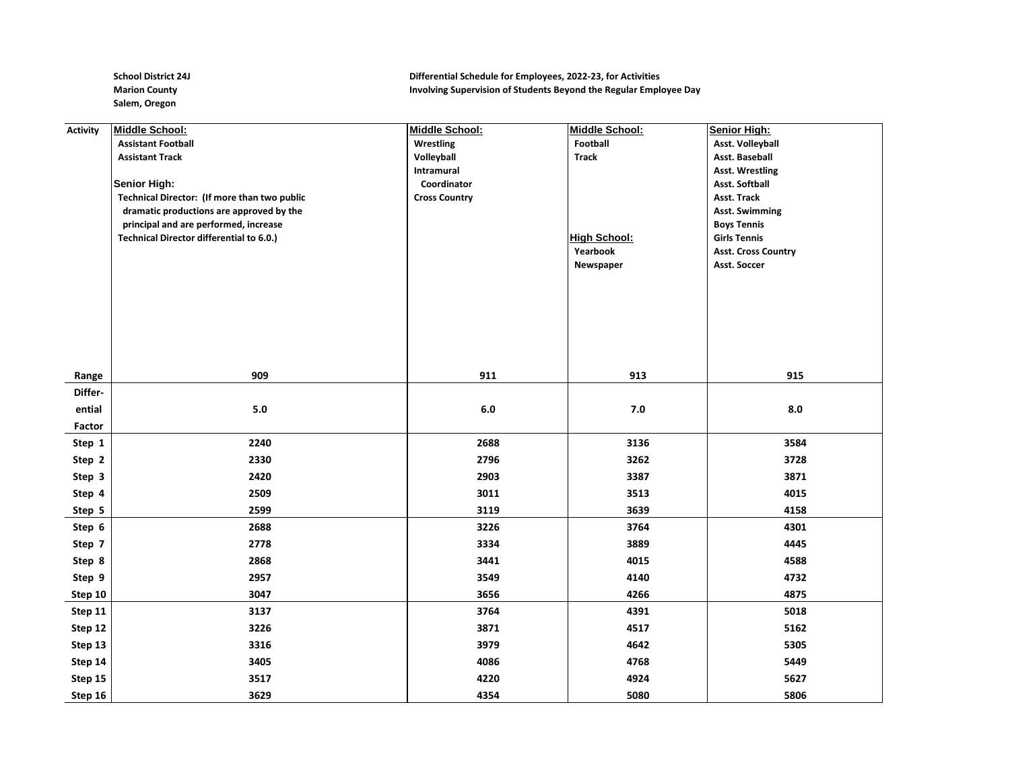**Salem, Oregon**

## School District 24J **Differential Schedule for Employees, 2022-23, for Activities Marion County Involving Supervision of Students Beyond the Regular Employee Day**

| <b>Activity</b> | Middle School:                                  | Middle School:       | <b>Middle School:</b> | Senior High:               |
|-----------------|-------------------------------------------------|----------------------|-----------------------|----------------------------|
|                 | <b>Assistant Football</b>                       | Wrestling            | Football              | <b>Asst. Volleyball</b>    |
|                 | <b>Assistant Track</b>                          | Volleyball           | <b>Track</b>          | Asst. Baseball             |
|                 |                                                 | Intramural           |                       | <b>Asst. Wrestling</b>     |
|                 | Senior High:                                    | Coordinator          |                       | <b>Asst. Softball</b>      |
|                 | Technical Director: (If more than two public    | <b>Cross Country</b> |                       | Asst. Track                |
|                 | dramatic productions are approved by the        |                      |                       | <b>Asst. Swimming</b>      |
|                 | principal and are performed, increase           |                      |                       | <b>Boys Tennis</b>         |
|                 | <b>Technical Director differential to 6.0.)</b> |                      | <b>High School:</b>   | <b>Girls Tennis</b>        |
|                 |                                                 |                      | Yearbook              | <b>Asst. Cross Country</b> |
|                 |                                                 |                      | Newspaper             | Asst. Soccer               |
|                 |                                                 |                      |                       |                            |
|                 |                                                 |                      |                       |                            |
|                 |                                                 |                      |                       |                            |
|                 |                                                 |                      |                       |                            |
|                 |                                                 |                      |                       |                            |
|                 |                                                 |                      |                       |                            |
|                 |                                                 | 911                  | 913                   | 915                        |
| Range           | 909                                             |                      |                       |                            |
| Differ-         |                                                 |                      |                       |                            |
| ential          | 5.0                                             | $6.0\,$              | $7.0$                 | 8.0                        |
| Factor          |                                                 |                      |                       |                            |
| Step 1          | 2240                                            | 2688                 | 3136                  | 3584                       |
| Step 2          | 2330                                            | 2796                 | 3262                  | 3728                       |
| Step 3          | 2420                                            | 2903                 | 3387                  | 3871                       |
| Step 4          | 2509                                            | 3011                 | 3513                  | 4015                       |
| Step 5          | 2599                                            | 3119                 | 3639                  | 4158                       |
| Step 6          | 2688                                            | 3226                 | 3764                  | 4301                       |
| Step 7          | 2778                                            | 3334                 | 3889                  | 4445                       |
| Step 8          | 2868                                            | 3441                 | 4015                  | 4588                       |
| Step 9          | 2957                                            | 3549                 | 4140                  | 4732                       |
| Step 10         | 3047                                            | 3656                 | 4266                  | 4875                       |
| Step 11         | 3137                                            | 3764                 | 4391                  | 5018                       |
| Step 12         | 3226                                            | 3871                 | 4517                  | 5162                       |
| Step 13         | 3316                                            | 3979                 | 4642                  | 5305                       |
| Step 14         | 3405                                            | 4086                 | 4768                  | 5449                       |
| Step 15         | 3517                                            | 4220                 | 4924                  | 5627                       |
| Step 16         | 3629                                            | 4354                 | 5080                  | 5806                       |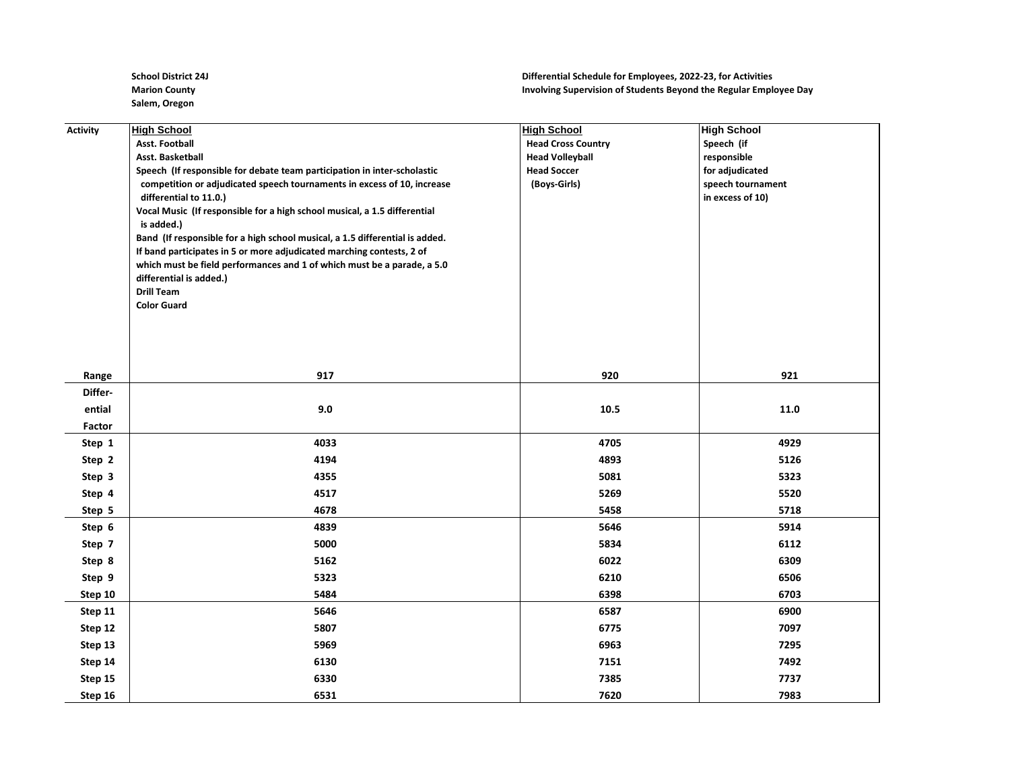**Salem, Oregon**

## **School District 24J Differential Schedule for Employees, 2022-23, for Activities Marion County Involving Supervision of Students Beyond the Regular Employee Day**

| <b>Activity</b> | <b>High School</b>                                                           | <b>High School</b>        | <b>High School</b> |
|-----------------|------------------------------------------------------------------------------|---------------------------|--------------------|
|                 | <b>Asst. Football</b>                                                        | <b>Head Cross Country</b> | Speech (if         |
|                 | Asst. Basketball                                                             | <b>Head Volleyball</b>    | responsible        |
|                 | Speech (If responsible for debate team participation in inter-scholastic     | <b>Head Soccer</b>        | for adjudicated    |
|                 | competition or adjudicated speech tournaments in excess of 10, increase      | (Boys-Girls)              | speech tournament  |
|                 | differential to 11.0.)                                                       |                           | in excess of 10)   |
|                 | Vocal Music (If responsible for a high school musical, a 1.5 differential    |                           |                    |
|                 | is added.)                                                                   |                           |                    |
|                 | Band (If responsible for a high school musical, a 1.5 differential is added. |                           |                    |
|                 | If band participates in 5 or more adjudicated marching contests, 2 of        |                           |                    |
|                 | which must be field performances and 1 of which must be a parade, a 5.0      |                           |                    |
|                 | differential is added.)<br><b>Drill Team</b>                                 |                           |                    |
|                 | <b>Color Guard</b>                                                           |                           |                    |
|                 |                                                                              |                           |                    |
|                 |                                                                              |                           |                    |
|                 |                                                                              |                           |                    |
|                 |                                                                              |                           |                    |
| Range           | 917                                                                          | 920                       | 921                |
| Differ-         |                                                                              |                           |                    |
| ential          | 9.0                                                                          | 10.5                      | 11.0               |
| Factor          |                                                                              |                           |                    |
| Step 1          | 4033                                                                         | 4705                      | 4929               |
| Step 2          | 4194                                                                         | 4893                      | 5126               |
| Step 3          | 4355                                                                         | 5081                      | 5323               |
| Step 4          | 4517                                                                         | 5269                      | 5520               |
| Step 5          | 4678                                                                         | 5458                      | 5718               |
| Step 6          | 4839                                                                         | 5646                      | 5914               |
| Step 7          | 5000                                                                         | 5834                      | 6112               |
| Step 8          | 5162                                                                         | 6022                      | 6309               |
| Step 9          | 5323                                                                         | 6210                      | 6506               |
| Step 10         | 5484                                                                         | 6398                      | 6703               |
| Step 11         | 5646                                                                         | 6587                      | 6900               |
| Step 12         | 5807                                                                         | 6775                      | 7097               |
| Step 13         | 5969                                                                         | 6963                      | 7295               |
| Step 14         | 6130                                                                         | 7151                      | 7492               |
| Step 15         | 6330                                                                         | 7385                      | 7737               |
| Step 16         | 6531                                                                         | 7620                      | 7983               |